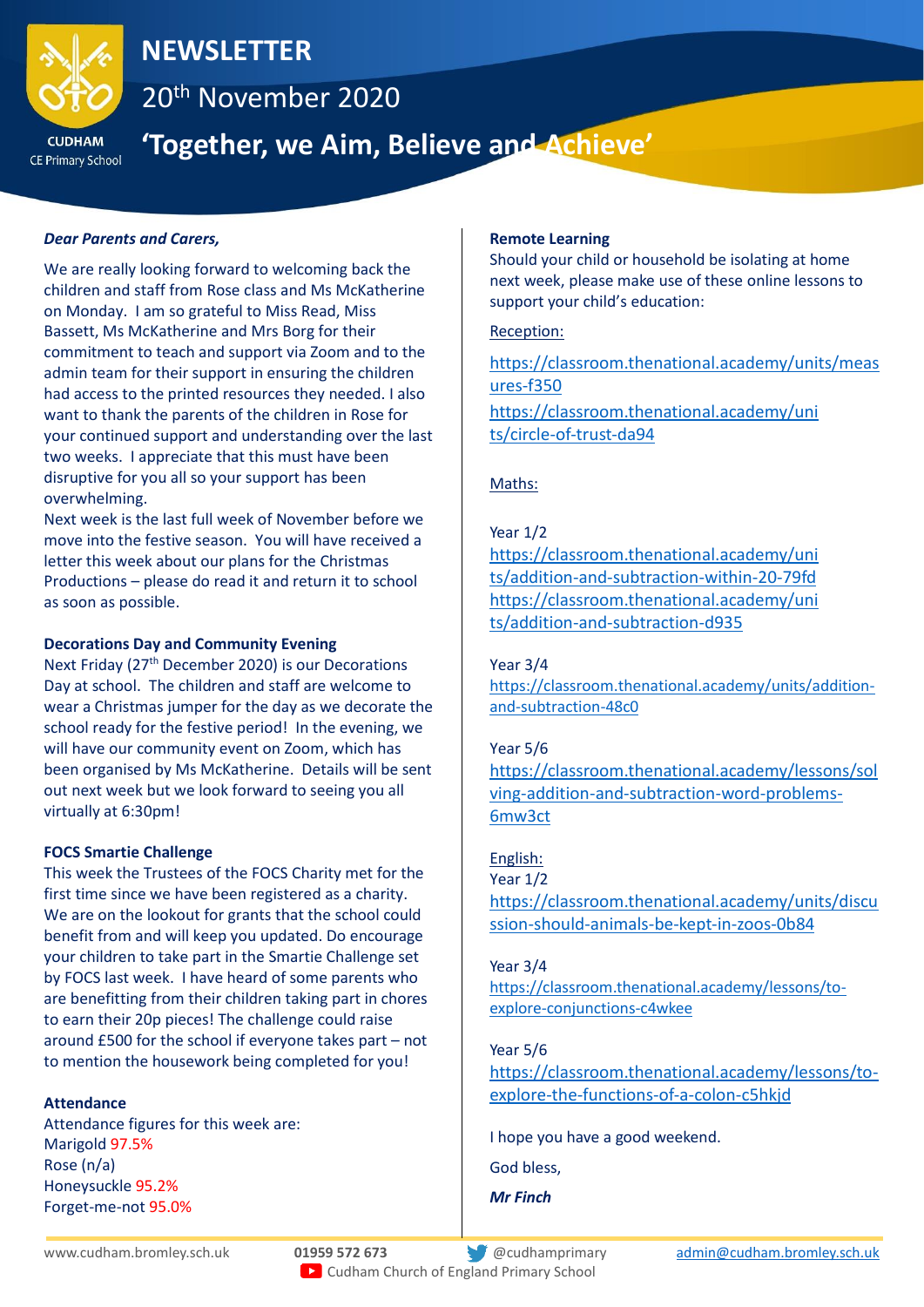

## **NEWSLETTER**

20th November 2020

**CE Primary School** 

# **'Together, we Aim, Believe and Achieve'**

## *Dear Parents and Carers,*

We are really looking forward to welcoming back the children and staff from Rose class and Ms McKatherine on Monday. I am so grateful to Miss Read, Miss Bassett, Ms McKatherine and Mrs Borg for their commitment to teach and support via Zoom and to the admin team for their support in ensuring the children had access to the printed resources they needed. I also want to thank the parents of the children in Rose for your continued support and understanding over the last two weeks. I appreciate that this must have been disruptive for you all so your support has been overwhelming.

Next week is the last full week of November before we move into the festive season. You will have received a letter this week about our plans for the Christmas Productions – please do read it and return it to school as soon as possible.

## **Decorations Day and Community Evening**

Next Friday (27<sup>th</sup> December 2020) is our Decorations Day at school. The children and staff are welcome to wear a Christmas jumper for the day as we decorate the school ready for the festive period! In the evening, we will have our community event on Zoom, which has been organised by Ms McKatherine. Details will be sent out next week but we look forward to seeing you all virtually at 6:30pm!

## **FOCS Smartie Challenge**

This week the Trustees of the FOCS Charity met for the first time since we have been registered as a charity. We are on the lookout for grants that the school could benefit from and will keep you updated. Do encourage your children to take part in the Smartie Challenge set by FOCS last week. I have heard of some parents who are benefitting from their children taking part in chores to earn their 20p pieces! The challenge could raise around £500 for the school if everyone takes part – not to mention the housework being completed for you!

## **Attendance**

Attendance figures for this week are: Marigold 97.5% Rose (n/a) Honeysuckle 95.2% Forget-me-not 95.0%

#### **Remote Learning**

Should your child or household be isolating at home next week, please make use of these online lessons to support your child's education:

## Reception:

[https://classroom.thenational.academy/units/meas](https://classroom.thenational.academy/units/measures-f350) [ures-f350](https://classroom.thenational.academy/units/measures-f350) [https://classroom.thenational.academy/uni](https://classroom.thenational.academy/units/circle-of-trust-da94) [ts/circle-of-trust-da94](https://classroom.thenational.academy/units/circle-of-trust-da94)

## Maths:

## Year 1/2

[https://classroom.thenational.academy/uni](https://classroom.thenational.academy/units/addition-and-subtraction-within-20-79fd) [ts/addition-and-subtraction-within-20-79fd](https://classroom.thenational.academy/units/addition-and-subtraction-within-20-79fd) [https://classroom.thenational.academy/uni](https://classroom.thenational.academy/units/addition-and-subtraction-d935) [ts/addition-and-subtraction-d935](https://classroom.thenational.academy/units/addition-and-subtraction-d935)

## Year 3/4

[https://classroom.thenational.academy/units/addition](https://classroom.thenational.academy/units/addition-and-subtraction-48c0)[and-subtraction-48c0](https://classroom.thenational.academy/units/addition-and-subtraction-48c0)

#### Year 5/6

[https://classroom.thenational.academy/lessons/sol](https://classroom.thenational.academy/lessons/solving-addition-and-subtraction-word-problems-6mw3ct) [ving-addition-and-subtraction-word-problems-](https://classroom.thenational.academy/lessons/solving-addition-and-subtraction-word-problems-6mw3ct)[6mw3ct](https://classroom.thenational.academy/lessons/solving-addition-and-subtraction-word-problems-6mw3ct)

## English:

Year 1/2 [https://classroom.thenational.academy/units/discu](https://classroom.thenational.academy/units/discussion-should-animals-be-kept-in-zoos-0b84) [ssion-should-animals-be-kept-in-zoos-0b84](https://classroom.thenational.academy/units/discussion-should-animals-be-kept-in-zoos-0b84)

#### Year 3/4

[https://classroom.thenational.academy/lessons/to](https://classroom.thenational.academy/lessons/to-explore-conjunctions-c4wkee)[explore-conjunctions-c4wkee](https://classroom.thenational.academy/lessons/to-explore-conjunctions-c4wkee)

## Year 5/6

[https://classroom.thenational.academy/lessons/to](https://classroom.thenational.academy/lessons/to-explore-the-functions-of-a-colon-c5hkjd)[explore-the-functions-of-a-colon-c5hkjd](https://classroom.thenational.academy/lessons/to-explore-the-functions-of-a-colon-c5hkjd)

I hope you have a good weekend.

God bless,

*Mr Finch*